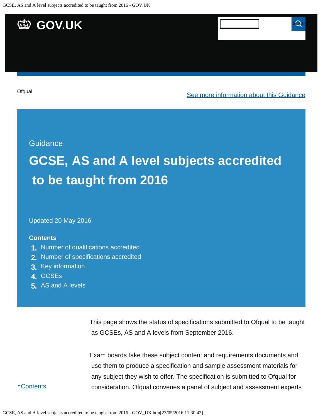

#### **Guidance**

# **GCSE, AS and A level subjects accredited to be taught from 2016**

Updated 20 May 2016

#### **Contents**

- **1.** [Number of qualifications accredited](https://www.gov.uk/government/publications/accreditation-of-gcses-as-a-levels-for-teaching-from-2016/gcse-as-and-a-level-subjects-accredited-to-be-taught-from-2016#number-of-qualifications-accredited)
- **2.** [Number of specifications accredited](https://www.gov.uk/government/publications/accreditation-of-gcses-as-a-levels-for-teaching-from-2016/gcse-as-and-a-level-subjects-accredited-to-be-taught-from-2016#number-of-specifications-accredited)
- **3.** [Key information](https://www.gov.uk/government/publications/accreditation-of-gcses-as-a-levels-for-teaching-from-2016/gcse-as-and-a-level-subjects-accredited-to-be-taught-from-2016#key-information)
- **4.** [GCSEs](https://www.gov.uk/government/publications/accreditation-of-gcses-as-a-levels-for-teaching-from-2016/gcse-as-and-a-level-subjects-accredited-to-be-taught-from-2016#gcses)
- **5.** [AS and A levels](https://www.gov.uk/government/publications/accreditation-of-gcses-as-a-levels-for-teaching-from-2016/gcse-as-and-a-level-subjects-accredited-to-be-taught-from-2016#as-and-a-levels)

This page shows the status of specifications submitted to Ofqual to be taught as GCSEs, AS and A levels from September 2016.

Exam boards take these subject content and requirements documents and use them to produce a specification and sample assessment materials for any subject they wish to offer. The specification is submitted to Ofqual for consideration. Ofqual convenes a panel of subject and assessment experts

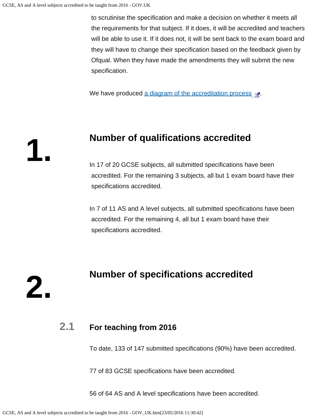to scrutinise the specification and make a decision on whether it meets all the requirements for that subject. If it does, it will be accredited and teachers will be able to use it. If it does not, it will be sent back to the exam board and they will have to change their specification based on the feedback given by Ofqual. When they have made the amendments they will submit the new specification.

We have produced [a diagram of the accreditation process](https://s-media-cache-ak0.pinimg.com/originals/ce/98/b8/ce98b80566a5db550a3c26889667b9f8.png)  $\mathbb{R}$ .

### **Number of qualifications accredited**

In 17 of 20 GCSE subjects, all submitted specifications have been accredited. For the remaining 3 subjects, all but 1 exam board have their specifications accredited.

In 7 of 11 AS and A level subjects, all submitted specifications have been accredited. For the remaining 4, all but 1 exam board have their specifications accredited.

**2.**

**1.**

### **Number of specifications accredited**

#### **2.1 For teaching from 2016**

To date, 133 of 147 submitted specifications (90%) have been accredited.

77 of 83 GCSE specifications have been accredited.

56 of 64 AS and A level specifications have been accredited.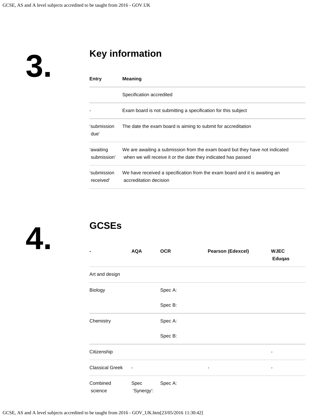**3.**

## **Key information**

| Entry                    | <b>Meaning</b>                                                                                                                                |  |  |
|--------------------------|-----------------------------------------------------------------------------------------------------------------------------------------------|--|--|
|                          | Specification accredited                                                                                                                      |  |  |
|                          | Exam board is not submitting a specification for this subject                                                                                 |  |  |
| 'submission<br>due'      | The date the exam board is aiming to submit for accreditation                                                                                 |  |  |
| 'awaiting<br>submission' | We are awaiting a submission from the exam board but they have not indicated<br>when we will receive it or the date they indicated has passed |  |  |
| 'submission<br>received' | We have received a specification from the exam board and it is awaiting an<br>accreditation decision                                          |  |  |



### **GCSEs**

| -                      | <b>AQA</b>               | <b>OCR</b> | <b>Pearson (Edexcel)</b> | <b>WJEC</b><br><b>Eduqas</b> |
|------------------------|--------------------------|------------|--------------------------|------------------------------|
| Art and design         |                          |            |                          |                              |
| Biology                |                          | Spec A:    |                          |                              |
|                        |                          | Spec B:    |                          |                              |
| Chemistry              |                          | Spec A:    |                          |                              |
|                        |                          | Spec B:    |                          |                              |
| Citizenship            |                          |            |                          |                              |
| <b>Classical Greek</b> | $\overline{\phantom{a}}$ |            | ۰                        | ۰                            |
| Combined<br>science    | Spec<br>'Synergy':       | Spec A:    |                          |                              |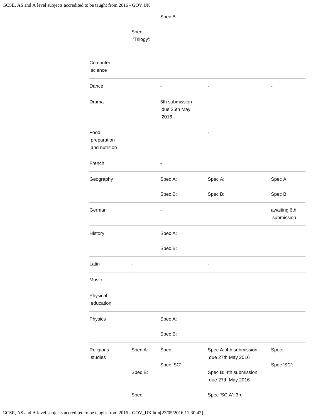| spec |  |
|------|--|
|------|--|

|                                      | Spec<br>'Trilogy': |                                        |                                             |                            |
|--------------------------------------|--------------------|----------------------------------------|---------------------------------------------|----------------------------|
| Computer<br>science                  |                    |                                        |                                             |                            |
| Dance                                |                    |                                        |                                             |                            |
| Drama                                |                    | 5th submission<br>due 25th May<br>2016 |                                             |                            |
| Food<br>preparation<br>and nutrition |                    |                                        |                                             |                            |
| French                               |                    |                                        |                                             |                            |
| Geography                            |                    | Spec A:                                | Spec A:                                     | Spec A:                    |
|                                      |                    | Spec B:                                | Spec B:                                     | Spec B:                    |
| German                               |                    |                                        |                                             | awaiting 6th<br>submission |
| History                              |                    | Spec A:                                |                                             |                            |
|                                      |                    | Spec B:                                |                                             |                            |
| Latin                                |                    |                                        |                                             |                            |
| Music                                |                    |                                        |                                             |                            |
| Physical<br>education                |                    |                                        |                                             |                            |
| Physics                              |                    | Spec A:                                |                                             |                            |
|                                      |                    | Spec B:                                |                                             |                            |
| Religious<br>studies                 | Spec A:            | Spec:                                  | Spec A: 4th submission<br>due 27th May 2016 | Spec:                      |
|                                      |                    | Spec 'SC':                             |                                             | Spec 'SC':                 |
|                                      | Spec B:            |                                        | Spec B: 4th submission<br>due 27th May 2016 |                            |
|                                      | Spec               |                                        | Spec 'SC A': 3rd                            |                            |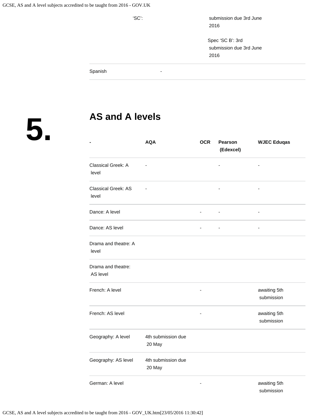'SC': submission due 3rd June 2016

> Spec 'SC B': 3rd submission due 3rd June 2016

Spanish -

**5.**

### **AS and A levels**

|                                | <b>AQA</b>                   | <b>OCR</b>               | Pearson<br>(Edexcel) | <b>WJEC Eduqas</b>         |
|--------------------------------|------------------------------|--------------------------|----------------------|----------------------------|
| Classical Greek: A<br>level    |                              |                          | -                    |                            |
| Classical Greek: AS<br>level   |                              |                          |                      |                            |
| Dance: A level                 |                              |                          | ٠                    |                            |
| Dance: AS level                |                              | ÷,                       | ÷,                   | $\blacksquare$             |
| Drama and theatre: A<br>level  |                              |                          |                      |                            |
| Drama and theatre:<br>AS level |                              |                          |                      |                            |
| French: A level                |                              |                          |                      | awaiting 5th<br>submission |
| French: AS level               |                              | $\overline{\phantom{a}}$ |                      | awaiting 5th<br>submission |
| Geography: A level             | 4th submission due<br>20 May |                          |                      |                            |
| Geography: AS level            | 4th submission due<br>20 May |                          |                      |                            |
| German: A level                |                              |                          |                      | awaiting 5th<br>submission |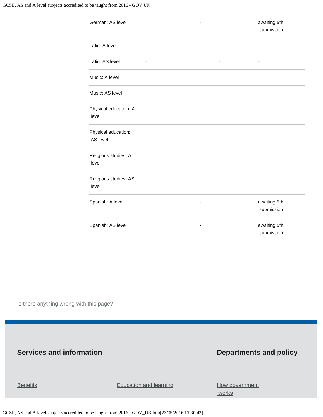| German: AS level                | awaiting 5th<br>submission |
|---------------------------------|----------------------------|
| Latin: A level                  |                            |
| Latin: AS level                 |                            |
| Music: A level                  |                            |
| Music: AS level                 |                            |
| Physical education: A<br>level  |                            |
| Physical education:<br>AS level |                            |
| Religious studies: A<br>level   |                            |
| Religious studies: AS<br>level  |                            |
| Spanish: A level                | awaiting 5th<br>submission |
| Spanish: AS level<br>-          | awaiting 5th<br>submission |

Is there anything wrong with this page?